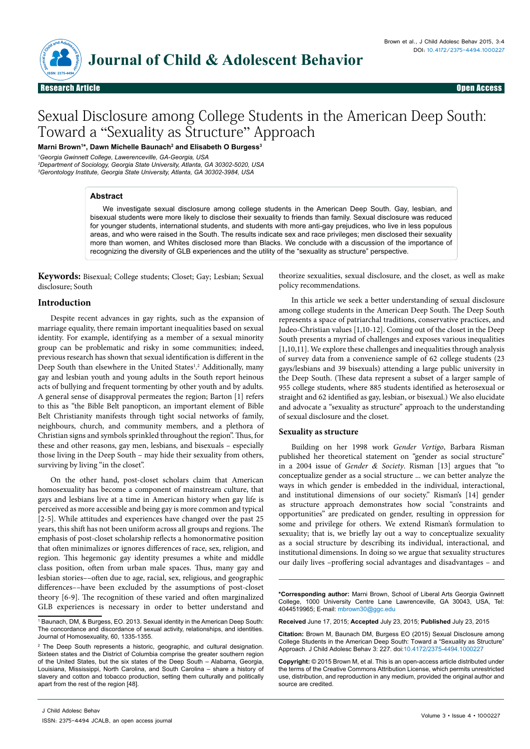

# Sexual Disclosure among College Students in the American Deep South: Toward a "Sexuality as Structure" Approach

**Marni Brown1 \*, Dawn Michelle Baunach2 and Elisabeth O Burgess3**

*1 Georgia Gwinnett College, Lawerenceville, GA-Georgia, USA 2 Department of Sociology, Georgia State University, Atlanta, GA 30302-5020, USA 3 Gerontology Institute, Georgia State University, Atlanta, GA 30302-3984, USA*

# **Abstract**

We investigate sexual disclosure among college students in the American Deep South. Gay, lesbian, and bisexual students were more likely to disclose their sexuality to friends than family. Sexual disclosure was reduced for younger students, international students, and students with more anti-gay prejudices, who live in less populous areas, and who were raised in the South. The results indicate sex and race privileges; men disclosed their sexuality more than women, and Whites disclosed more than Blacks. We conclude with a discussion of the importance of recognizing the diversity of GLB experiences and the utility of the "sexuality as structure" perspective.

**Keywords:** Bisexual; College students; Closet; Gay; Lesbian; Sexual disclosure; South

# **Introduction**

Despite recent advances in gay rights, such as the expansion of marriage equality, there remain important inequalities based on sexual identity. For example, identifying as a member of a sexual minority group can be problematic and risky in some communities; indeed, previous research has shown that sexual identification is different in the Deep South than elsewhere in the United States<sup>1</sup>.<sup>2</sup> Additionally, many gay and lesbian youth and young adults in the South report heinous acts of bullying and frequent tormenting by other youth and by adults. A general sense of disapproval permeates the region; Barton [1] refers to this as "the Bible Belt panopticon, an important element of Bible Belt Christianity manifests through tight social networks of family, neighbours, church, and community members, and a plethora of Christian signs and symbols sprinkled throughout the region". Thus, for these and other reasons, gay men, lesbians, and bisexuals – especially those living in the Deep South – may hide their sexuality from others, surviving by living "in the closet".

On the other hand, post-closet scholars claim that American homosexuality has become a component of mainstream culture, that gays and lesbians live at a time in American history when gay life is perceived as more accessible and being gay is more common and typical [2-5]. While attitudes and experiences have changed over the past 25 years, this shift has not been uniform across all groups and regions. The emphasis of post-closet scholarship reflects a homonormative position that often minimalizes or ignores differences of race, sex, religion, and region. This hegemonic gay identity presumes a white and middle class position, often from urban male spaces. Thus, many gay and lesbian stories––often due to age, racial, sex, religious, and geographic differences––have been excluded by the assumptions of post-closet theory [6-9]. The recognition of these varied and often marginalized GLB experiences is necessary in order to better understand and

theorize sexualities, sexual disclosure, and the closet, as well as make policy recommendations.

In this article we seek a better understanding of sexual disclosure among college students in the American Deep South. The Deep South represents a space of patriarchal traditions, conservative practices, and Judeo-Christian values [1,10-12]. Coming out of the closet in the Deep South presents a myriad of challenges and exposes various inequalities [1,10,11]. We explore these challenges and inequalities through analysis of survey data from a convenience sample of 62 college students (23 gays/lesbians and 39 bisexuals) attending a large public university in the Deep South. (These data represent a subset of a larger sample of 955 college students, where 885 students identified as heterosexual or straight and 62 identified as gay, lesbian, or bisexual.) We also elucidate and advocate a "sexuality as structure" approach to the understanding of sexual disclosure and the closet.

# **Sexuality as structure**

Building on her 1998 work *Gender Vertigo*, Barbara Risman published her theoretical statement on "gender as social structure" in a 2004 issue of *Gender & Society*. Risman [13] argues that "to conceptualize gender as a social structure ... we can better analyze the ways in which gender is embedded in the individual, interactional, and institutional dimensions of our society." Risman's [14] gender as structure approach demonstrates how social "constraints and opportunities" are predicated on gender, resulting in oppression for some and privilege for others. We extend Risman's formulation to sexuality; that is, we briefly lay out a way to conceptualize sexuality as a social structure by describing its individual, interactional, and institutional dimensions. In doing so we argue that sexuality structures our daily lives –proffering social advantages and disadvantages – and

**\*Corresponding author:** Marni Brown, School of Liberal Arts Georgia Gwinnett College, 1000 University Centre Lane Lawrenceville, GA 30043, USA, Tel: 4044519965; E-mail: mbrown30@ggc.edu

**Received** June 17, 2015; **Accepted** July 23, 2015; **Published** July 23, 2015

**Citation:** Brown M, Baunach DM, Burgess EO (2015) Sexual Disclosure among College Students in the American Deep South: Toward a "Sexuality as Structure" Approach. J Child Adolesc Behav 3: 227. doi:10.4172/2375-4494.1000227

**Copyright:** © 2015 Brown M, et al. This is an open-access article distributed under the terms of the Creative Commons Attribution License, which permits unrestricted use, distribution, and reproduction in any medium, provided the original author and source are credited.

<sup>1</sup> Baunach, DM, & Burgess, EO. 2013. Sexual identity in the American Deep South: The concordance and discordance of sexual activity, relationships, and identities. Journal of Homosexuality, 60, 1335-1355.

<sup>2</sup> The Deep South represents a historic, geographic, and cultural designation. Sixteen states and the District of Columbia comprise the greater southern region of the United States, but the six states of the Deep South – Alabama, Georgia, Louisiana, Mississippi, North Carolina, and South Carolina – share a history of slavery and cotton and tobacco production, setting them culturally and politically apart from the rest of the region [48].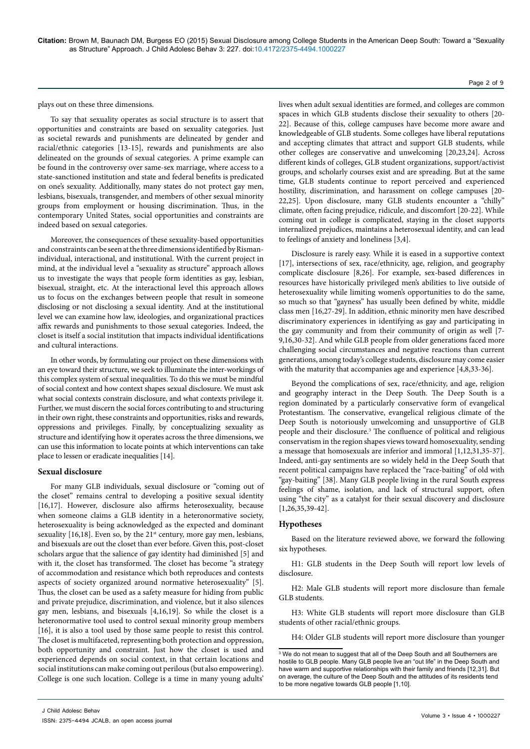plays out on these three dimensions.

To say that sexuality operates as social structure is to assert that opportunities and constraints are based on sexuality categories. Just as societal rewards and punishments are delineated by gender and racial/ethnic categories [13-15], rewards and punishments are also delineated on the grounds of sexual categories. A prime example can be found in the controversy over same-sex marriage, where access to a state-sanctioned institution and state and federal benefits is predicated on one's sexuality. Additionally, many states do not protect gay men, lesbians, bisexuals, transgender, and members of other sexual minority groups from employment or housing discrimination. Thus, in the contemporary United States, social opportunities and constraints are indeed based on sexual categories.

Moreover, the consequences of these sexuality-based opportunities and constraints can be seen at the three dimensions identified by Rismanindividual, interactional, and institutional. With the current project in mind, at the individual level a "sexuality as structure" approach allows us to investigate the ways that people form identities as gay, lesbian, bisexual, straight, etc. At the interactional level this approach allows us to focus on the exchanges between people that result in someone disclosing or not disclosing a sexual identity. And at the institutional level we can examine how law, ideologies, and organizational practices affix rewards and punishments to those sexual categories. Indeed, the closet is itself a social institution that impacts individual identifications and cultural interactions.

In other words, by formulating our project on these dimensions with an eye toward their structure, we seek to illuminate the inter-workings of this complex system of sexual inequalities. To do this we must be mindful of social context and how context shapes sexual disclosure. We must ask what social contexts constrain disclosure, and what contexts privilege it. Further, we must discern the social forces contributing to and structuring in their own right, these constraints and opportunities, risks and rewards, oppressions and privileges. Finally, by conceptualizing sexuality as structure and identifying how it operates across the three dimensions, we can use this information to locate points at which interventions can take place to lessen or eradicate inequalities [14].

#### **Sexual disclosure**

For many GLB individuals, sexual disclosure or "coming out of the closet" remains central to developing a positive sexual identity [16,17]. However, disclosure also affirms heterosexuality, because when someone claims a GLB identity in a heteronormative society, heterosexuality is being acknowledged as the expected and dominant sexuality [16,18]. Even so, by the  $21<sup>st</sup>$  century, more gay men, lesbians, and bisexuals are out the closet than ever before. Given this, post-closet scholars argue that the salience of gay identity had diminished [5] and with it, the closet has transformed. The closet has become "a strategy of accommodation and resistance which both reproduces and contests aspects of society organized around normative heterosexuality" [5]. Thus, the closet can be used as a safety measure for hiding from public and private prejudice, discrimination, and violence, but it also silences gay men, lesbians, and bisexuals [4,16,19]. So while the closet is a heteronormative tool used to control sexual minority group members [16], it is also a tool used by those same people to resist this control. The closet is multifaceted, representing both protection and oppression, both opportunity and constraint. Just how the closet is used and experienced depends on social context, in that certain locations and social institutions can make coming out perilous (but also empowering). College is one such location. College is a time in many young adults'

lives when adult sexual identities are formed, and colleges are common spaces in which GLB students disclose their sexuality to others [20- 22]. Because of this, college campuses have become more aware and knowledgeable of GLB students. Some colleges have liberal reputations and accepting climates that attract and support GLB students, while other colleges are conservative and unwelcoming [20,23,24]. Across different kinds of colleges, GLB student organizations, support/activist groups, and scholarly courses exist and are spreading. But at the same time, GLB students continue to report perceived and experienced hostility, discrimination, and harassment on college campuses [20- 22,25]. Upon disclosure, many GLB students encounter a "chilly" climate, often facing prejudice, ridicule, and discomfort [20-22]. While coming out in college is complicated, staying in the closet supports internalized prejudices, maintains a heterosexual identity, and can lead to feelings of anxiety and loneliness [3,4].

Disclosure is rarely easy. While it is eased in a supportive context [17], intersections of sex, race/ethnicity, age, religion, and geography complicate disclosure [8,26]. For example, sex-based differences in resources have historically privileged men's abilities to live outside of heterosexuality while limiting women's opportunities to do the same, so much so that "gayness" has usually been defined by white, middle class men [16,27-29]. In addition, ethnic minority men have described discriminatory experiences in identifying as gay and participating in the gay community and from their community of origin as well [7- 9,16,30-32]. And while GLB people from older generations faced more challenging social circumstances and negative reactions than current generations, among today's college students, disclosure may come easier with the maturity that accompanies age and experience [4,8,33-36].

Beyond the complications of sex, race/ethnicity, and age, religion and geography interact in the Deep South. The Deep South is a region dominated by a particularly conservative form of evangelical Protestantism. The conservative, evangelical religious climate of the Deep South is notoriously unwelcoming and unsupportive of GLB people and their disclosure.3 The confluence of political and religious conservatism in the region shapes views toward homosexuality, sending a message that homosexuals are inferior and immoral [1,12,31,35-37]. Indeed, anti-gay sentiments are so widely held in the Deep South that recent political campaigns have replaced the "race-baiting" of old with "gay-baiting" [38]. Many GLB people living in the rural South express feelings of shame, isolation, and lack of structural support, often using "the city" as a catalyst for their sexual discovery and disclosure [1,26,35,39-42].

#### **Hypotheses**

Based on the literature reviewed above, we forward the following six hypotheses.

H1: GLB students in the Deep South will report low levels of disclosure.

H2: Male GLB students will report more disclosure than female GLB students.

H3: White GLB students will report more disclosure than GLB students of other racial/ethnic groups.

H4: Older GLB students will report more disclosure than younger

#### Page 2 of 9

<sup>&</sup>lt;sup>3</sup> We do not mean to suggest that all of the Deep South and all Southerners are hostile to GLB people. Many GLB people live an "out life" in the Deep South and have warm and supportive relationships with their family and friends [12,31]. But on average, the culture of the Deep South and the attitudes of its residents tend to be more negative towards GLB people [1,10].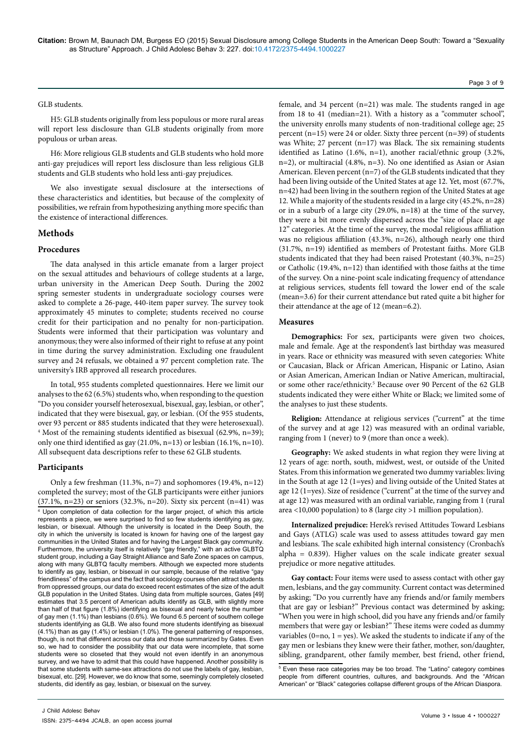#### GLB students.

H5: GLB students originally from less populous or more rural areas will report less disclosure than GLB students originally from more populous or urban areas.

H6: More religious GLB students and GLB students who hold more anti-gay prejudices will report less disclosure than less religious GLB students and GLB students who hold less anti-gay prejudices.

We also investigate sexual disclosure at the intersections of these characteristics and identities, but because of the complexity of possibilities, we refrain from hypothesizing anything more specific than the existence of interactional differences.

#### **Methods**

# **Procedures**

The data analysed in this article emanate from a larger project on the sexual attitudes and behaviours of college students at a large, urban university in the American Deep South. During the 2002 spring semester students in undergraduate sociology courses were asked to complete a 26-page, 440-item paper survey. The survey took approximately 45 minutes to complete; students received no course credit for their participation and no penalty for non-participation. Students were informed that their participation was voluntary and anonymous; they were also informed of their right to refuse at any point in time during the survey administration. Excluding one fraudulent survey and 24 refusals, we obtained a 97 percent completion rate. The university's IRB approved all research procedures.

In total, 955 students completed questionnaires. Here we limit our analyses to the 62 (6.5%) students who, when responding to the question "Do you consider yourself heterosexual, bisexual, gay, lesbian, or other", indicated that they were bisexual, gay, or lesbian. (Of the 955 students, over 93 percent or 885 students indicated that they were heterosexual). 4 Most of the remaining students identified as bisexual (62.9%, n=39); only one third identified as gay (21.0%, n=13) or lesbian (16.1%, n=10). All subsequent data descriptions refer to these 62 GLB students.

#### **Participants**

Only a few freshman (11.3%, n=7) and sophomores (19.4%, n=12) completed the survey; most of the GLB participants were either juniors (37.1%, n=23) or seniors (32.3%, n=20). Sixty six percent  $(n=41)$  was 4 Upon completion of data collection for the larger project, of which this article represents a piece, we were surprised to find so few students identifying as gay, lesbian, or bisexual. Although the university is located in the Deep South, the city in which the university is located is known for having one of the largest gay communities in the United States and for having the Largest Black gay community. Furthermore, the university itself is relatively "gay friendly," with an active GLBTQ student group, including a Gay Straight Alliance and Safe Zone spaces on campus, along with many GLBTQ faculty members. Although we expected more students to identify as gay, lesbian, or bisexual in our sample, because of the relative "gay friendliness" of the campus and the fact that sociology courses often attract students from oppressed groups, our data do exceed recent estimates of the size of the adult GLB population in the United States. Using data from multiple sources, Gates [49] estimates that 3.5 percent of American adults identify as GLB, with slightly more than half of that figure (1.8%) identifying as bisexual and nearly twice the number of gay men (1.1%) than lesbians (0.6%). We found 6.5 percent of southern college students identifying as GLB. We also found more students identifying as bisexual (4.1%) than as gay (1.4%) or lesbian (1.0%). The general patterning of responses, though, is not that different across our data and those summarized by Gates. Even so, we had to consider the possibility that our data were incomplete, that some students were so closeted that they would not even identify in an anonymous survey, and we have to admit that this could have happened. Another possibility is that some students with same-sex attractions do not use the labels of gay, lesbian, bisexual, etc. [29]. However, we do know that some, seemingly completely closeted students, did identify as gay, lesbian, or bisexual on the survey.

female, and 34 percent (n=21) was male. The students ranged in age from 18 to 41 (median=21). With a history as a "commuter school", the university enrolls many students of non-traditional college age; 25 percent (n=15) were 24 or older. Sixty three percent (n=39) of students was White; 27 percent (n=17) was Black. The six remaining students identified as Latino (1.6%, n=1), another racial/ethnic group (3.2%, n=2), or multiracial (4.8%, n=3). No one identified as Asian or Asian American. Eleven percent  $(n=7)$  of the GLB students indicated that they had been living outside of the United States at age 12. Yet, most (67.7%, n=42) had been living in the southern region of the United States at age 12. While a majority of the students resided in a large city (45.2%, n=28) or in a suburb of a large city (29.0%, n=18) at the time of the survey, they were a bit more evenly dispersed across the "size of place at age 12" categories. At the time of the survey, the modal religious affiliation was no religious affiliation (43.3%, n=26), although nearly one third (31.7%, n=19) identified as members of Protestant faiths. More GLB students indicated that they had been raised Protestant (40.3%, n=25) or Catholic (19.4%, n=12) than identified with those faiths at the time of the survey. On a nine-point scale indicating frequency of attendance at religious services, students fell toward the lower end of the scale (mean=3.6) for their current attendance but rated quite a bit higher for their attendance at the age of 12 (mean=6.2).

#### **Measures**

**Demographics:** For sex, participants were given two choices, male and female. Age at the respondent's last birthday was measured in years. Race or ethnicity was measured with seven categories: White or Caucasian, Black or African American, Hispanic or Latino, Asian or Asian American, American Indian or Native American, multiracial, or some other race/ethnicity.<sup>5</sup> Because over 90 Percent of the 62 GLB students indicated they were either White or Black; we limited some of the analyses to just these students.

**Religion:** Attendance at religious services ("current" at the time of the survey and at age 12) was measured with an ordinal variable, ranging from 1 (never) to 9 (more than once a week).

**Geography:** We asked students in what region they were living at 12 years of age: north, south, midwest, west, or outside of the United States. From this information we generated two dummy variables: living in the South at age 12 (1=yes) and living outside of the United States at age 12 (1=yes). Size of residence ("current" at the time of the survey and at age 12) was measured with an ordinal variable, ranging from 1 (rural area <10,000 population) to 8 (large city >1 million population).

**Internalized prejudice:** Herek's revised Attitudes Toward Lesbians and Gays (ATLG) scale was used to assess attitudes toward gay men and lesbians. The scale exhibited high internal consistency (Cronbach's alpha = 0.839). Higher values on the scale indicate greater sexual prejudice or more negative attitudes.

**Gay contact:** Four items were used to assess contact with other gay men, lesbians, and the gay community. Current contact was determined by asking; "Do you currently have any friends and/or family members that are gay or lesbian?" Previous contact was determined by asking; "When you were in high school, did you have any friends and/or family members that were gay or lesbian?" These items were coded as dummy variables ( $0=no$ ,  $1 = yes$ ). We asked the students to indicate if any of the gay men or lesbians they knew were their father, mother, son/daughter, sibling, grandparent, other family member, best friend, other friend,

<sup>5</sup> Even these race categories may be too broad. The "Latino" category combines people from different countries, cultures, and backgrounds. And the "African American" or "Black" categories collapse different groups of the African Diaspora.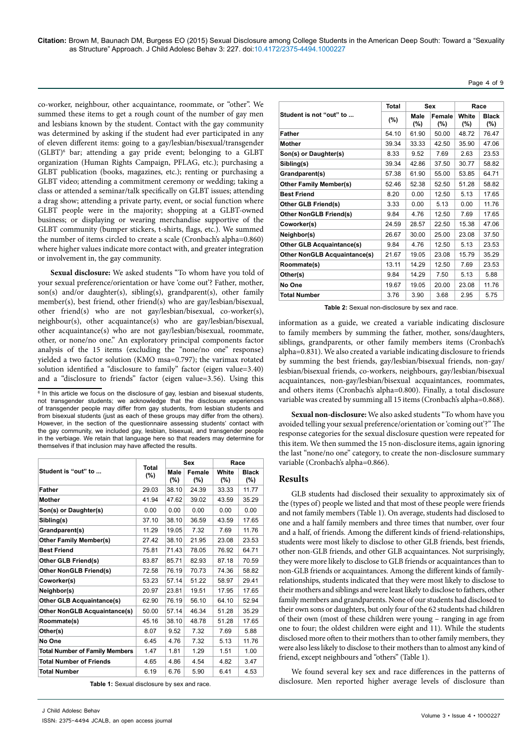co-worker, neighbour, other acquaintance, roommate, or "other". We summed these items to get a rough count of the number of gay men and lesbians known by the student. Contact with the gay community was determined by asking if the student had ever participated in any of eleven different items: going to a gay/lesbian/bisexual/transgender (GLBT)6 bar; attending a gay pride event; belonging to a GLBT organization (Human Rights Campaign, PFLAG, etc.); purchasing a GLBT publication (books, magazines, etc.); renting or purchasing a GLBT video; attending a commitment ceremony or wedding; taking a class or attended a seminar/talk specifically on GLBT issues; attending a drag show; attending a private party, event, or social function where GLBT people were in the majority; shopping at a GLBT-owned business; or displaying or wearing merchandise supportive of the GLBT community (bumper stickers, t-shirts, flags, etc.). We summed the number of items circled to create a scale (Cronbach's alpha=0.860) where higher values indicate more contact with, and greater integration or involvement in, the gay community.

**Sexual disclosure:** We asked students "To whom have you told of your sexual preference/orientation or have 'come out'? Father, mother, son(s) and/or daughter(s), sibling(s), grandparent(s), other family member(s), best friend, other friend(s) who are gay/lesbian/bisexual, other friend(s) who are not gay/lesbian/bisexual, co-worker(s), neighbour(s), other acquaintance(s) who are gay/lesbian/bisexual, other acquaintance(s) who are not gay/lesbian/bisexual, roommate, other, or none/no one." An exploratory principal components factor analysis of the 15 items (excluding the "none/no one" response) yielded a two factor solution (KMO msa=0.797); the varimax rotated solution identified a "disclosure to family" factor (eigen value=3.40) and a "disclosure to friends" factor (eigen value=3.56). Using this

<sup>6</sup> In this article we focus on the disclosure of gay, lesbian and bisexual students, not transgender students; we acknowledge that the disclosure experiences of transgender people may differ from gay students, from lesbian students and from bisexual students (just as each of these groups may differ from the others). However, in the section of the questionnaire assessing students' contact with the gay community, we included gay, lesbian, bisexual, and transgender people in the verbiage. We retain that language here so that readers may determine for themselves if that inclusion may have affected the results.

|                                       | Total<br>$(\% )$ | <b>Sex</b>      |               | Race             |                     |
|---------------------------------------|------------------|-----------------|---------------|------------------|---------------------|
| Student is "out" to                   |                  | Male<br>$(\% )$ | Female<br>(%) | White<br>$(\% )$ | <b>Black</b><br>(%) |
| <b>Father</b>                         | 29.03            | 38.10           | 24.39         | 33.33            | 11.77               |
| <b>Mother</b>                         | 41.94            | 47.62           | 39.02         | 43.59            | 35.29               |
| Son(s) or Daughter(s)                 | 0.00             | 0.00            | 0.00          | 0.00             | 0.00                |
| Sibling(s)                            | 37.10            | 38.10           | 36.59         | 43.59            | 17.65               |
| Grandparent(s)                        | 11.29            | 19.05           | 7.32          | 7.69             | 11.76               |
| <b>Other Family Member(s)</b>         | 27.42            | 38.10           | 21.95         | 23.08            | 23.53               |
| <b>Best Friend</b>                    | 75.81            | 71.43           | 78.05         | 76.92            | 64.71               |
| Other GLB Friend(s)                   | 83.87            | 85.71           | 82.93         | 87.18            | 70.59               |
| <b>Other NonGLB Friend(s)</b>         | 72.58            | 76.19           | 70.73         | 74.36            | 58.82               |
| Coworker(s)                           | 53.23            | 57.14           | 51.22         | 58.97            | 29.41               |
| Neighbor(s)                           | 20.97            | 23.81           | 19.51         | 17.95            | 17.65               |
| <b>Other GLB Acquaintance(s)</b>      | 62.90            | 76.19           | 56.10         | 64.10            | 52.94               |
| <b>Other NonGLB Acquaintance(s)</b>   | 50.00            | 57.14           | 46.34         | 51.28            | 35.29               |
| Roommate(s)                           | 45.16            | 38.10           | 48.78         | 51.28            | 17.65               |
| Other(s)                              | 8.07             | 9.52            | 7.32          | 7.69             | 5.88                |
| No One                                | 6.45             | 4.76            | 7.32          | 5.13             | 11.76               |
| <b>Total Number of Family Members</b> | 1.47             | 1.81            | 1.29          | 1.51             | 1.00                |
| <b>Total Number of Friends</b>        | 4.65             | 4.86            | 4.54          | 4.82             | 3.47                |
| <b>Total Number</b>                   | 6.19             | 6.76            | 5.90          | 6.41             | 4.53                |

**Table 1:** Sexual disclosure by sex and race.

|                                     | Total   |             | <b>Sex</b>               | Race                |                     |
|-------------------------------------|---------|-------------|--------------------------|---------------------|---------------------|
| Student is not "out" to             | $(\% )$ | Male<br>(%) | <b>Female</b><br>$(\% )$ | <b>White</b><br>(%) | <b>Black</b><br>(%) |
| <b>Father</b>                       | 54.10   | 61.90       | 50.00                    | 48.72               | 76.47               |
| Mother                              | 39.34   | 33.33       | 42.50                    | 35.90               | 47.06               |
| Son(s) or Daughter(s)               | 8.33    | 9.52        | 7.69                     | 2.63                | 23.53               |
| Sibling(s)                          | 39.34   | 42.86       | 37.50                    | 30.77               | 58.82               |
| Grandparent(s)                      | 57.38   | 61.90       | 55.00                    | 53.85               | 64.71               |
| <b>Other Family Member(s)</b>       | 52.46   | 52.38       | 52.50                    | 51.28               | 58.82               |
| <b>Best Friend</b>                  | 8.20    | 0.00        | 12.50                    | 5.13                | 17.65               |
| Other GLB Friend(s)                 | 3.33    | 0.00        | 5.13                     | 0.00                | 11.76               |
| <b>Other NonGLB Friend(s)</b>       | 9.84    | 4.76        | 12.50                    | 7.69                | 17.65               |
| Coworker(s)                         | 24.59   | 28.57       | 22.50                    | 15.38               | 47.06               |
| Neighbor(s)                         | 26.67   | 30.00       | 25.00                    | 23.08               | 37.50               |
| <b>Other GLB Acquaintance(s)</b>    | 9.84    | 4.76        | 12.50                    | 5.13                | 23.53               |
| <b>Other NonGLB Acquaintance(s)</b> | 21.67   | 19.05       | 23.08                    | 15.79               | 35.29               |
| Roommate(s)                         | 13.11   | 14.29       | 12.50                    | 7.69                | 23.53               |
| Other(s)                            | 9.84    | 14.29       | 7.50                     | 5.13                | 5.88                |
| No One                              | 19.67   | 19.05       | 20.00                    | 23.08               | 11.76               |
| <b>Total Number</b>                 | 3.76    | 3.90        | 3.68                     | 2.95                | 5.75                |

Page 4 of 9

**Table 2:** Sexual non-disclosure by sex and race.

information as a guide, we created a variable indicating disclosure to family members by summing the father, mother, sons/daughters, siblings, grandparents, or other family members items (Cronbach's alpha=0.831). We also created a variable indicating disclosure to friends by summing the best friends, gay/lesbian/bisexual friends, non-gay/ lesbian/bisexual friends, co-workers, neighbours, gay/lesbian/bisexual acquaintances, non-gay/lesbian/bisexual acquaintances, roommates, and others items (Cronbach's alpha=0.800). Finally, a total disclosure variable was created by summing all 15 items (Cronbach's alpha=0.868).

**Sexual non-disclosure:** We also asked students "To whom have you avoided telling your sexual preference/orientation or 'coming out'?" The response categories for the sexual disclosure question were repeated for this item. We then summed the 15 non-disclosure items, again ignoring the last "none/no one" category, to create the non-disclosure summary variable (Cronbach's alpha=0.866).

#### **Results**

GLB students had disclosed their sexuality to approximately six of the (types of) people we listed and that most of these people were friends and not family members (Table 1). On average, students had disclosed to one and a half family members and three times that number, over four and a half, of friends. Among the different kinds of friend-relationships, students were most likely to disclose to other GLB friends, best friends, other non-GLB friends, and other GLB acquaintances. Not surprisingly, they were more likely to disclose to GLB friends or acquaintances than to non-GLB friends or acquaintances. Among the different kinds of familyrelationships, students indicated that they were most likely to disclose to their mothers and siblings and were least likely to disclose to fathers, other family members and grandparents. None of our students had disclosed to their own sons or daughters, but only four of the 62 students had children of their own (most of these children were young – ranging in age from one to four; the oldest children were eight and 11). While the students disclosed more often to their mothers than to other family members, they were also less likely to disclose to their mothers than to almost any kind of friend, except neighbours and "others" (Table 1).

We found several key sex and race differences in the patterns of disclosure. Men reported higher average levels of disclosure than

Volume 3 • Issue 4 • 1000227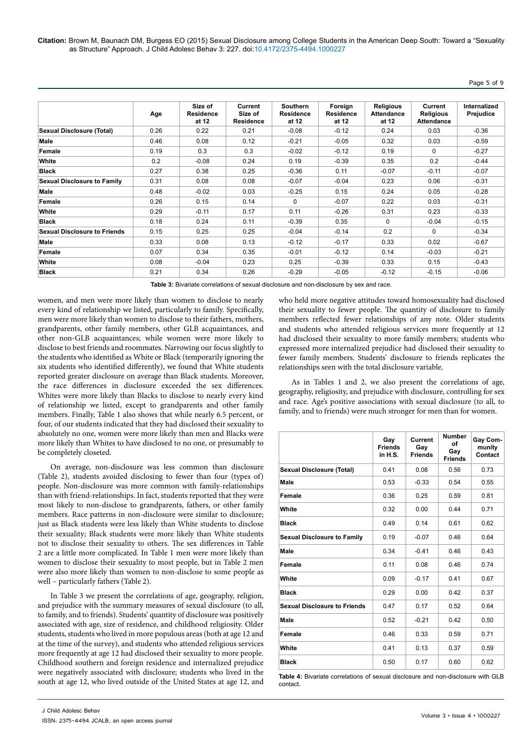|  | ıΑ<br>m |  | ΩT |  |
|--|---------|--|----|--|
|--|---------|--|----|--|

|                                     | Age  | Size of<br><b>Residence</b><br>at 12 | Current<br>Size of<br><b>Residence</b> | <b>Southern</b><br><b>Residence</b><br>at 12 | Foreign<br><b>Residence</b><br>at 12 | <b>Religious</b><br>Attendance<br>at 12 | Current<br><b>Religious</b><br><b>Attendance</b> | Internalized<br>Prejudice |
|-------------------------------------|------|--------------------------------------|----------------------------------------|----------------------------------------------|--------------------------------------|-----------------------------------------|--------------------------------------------------|---------------------------|
| <b>Sexual Disclosure (Total)</b>    | 0.26 | 0.22                                 | 0.21                                   | $-0.08$                                      | $-0.12$                              | 0.24                                    | 0.03                                             | $-0.36$                   |
| <b>Male</b>                         | 0.46 | 0.08                                 | 0.12                                   | $-0.21$                                      | $-0.05$                              | 0.32                                    | 0.03                                             | $-0.59$                   |
| Female                              | 0.19 | 0.3                                  | 0.3                                    | $-0.02$                                      | $-0.12$                              | 0.19                                    | $\Omega$                                         | $-0.27$                   |
| White                               | 0.2  | $-0.08$                              | 0.24                                   | 0.19                                         | $-0.39$                              | 0.35                                    | 0.2                                              | $-0.44$                   |
| <b>Black</b>                        | 0.27 | 0.38                                 | 0.25                                   | $-0.36$                                      | 0.11                                 | $-0.07$                                 | $-0.11$                                          | $-0.07$                   |
| <b>Sexual Disclosure to Family</b>  | 0.31 | 0.08                                 | 0.08                                   | $-0.07$                                      | $-0.04$                              | 0.23                                    | 0.06                                             | $-0.31$                   |
| Male                                | 0.48 | $-0.02$                              | 0.03                                   | $-0.25$                                      | 0.15                                 | 0.24                                    | 0.05                                             | $-0.28$                   |
| Female                              | 0.26 | 0.15                                 | 0.14                                   | $\Omega$                                     | $-0.07$                              | 0.22                                    | 0.03                                             | $-0.31$                   |
| White                               | 0.29 | $-0.11$                              | 0.17                                   | 0.11                                         | $-0.26$                              | 0.31                                    | 0.23                                             | $-0.33$                   |
| <b>Black</b>                        | 0.18 | 0.24                                 | 0.11                                   | $-0.39$                                      | 0.35                                 | 0                                       | $-0.04$                                          | $-0.15$                   |
| <b>Sexual Disclosure to Friends</b> | 0.15 | 0.25                                 | 0.25                                   | $-0.04$                                      | $-0.14$                              | 0.2                                     | $\Omega$                                         | $-0.34$                   |
| Male                                | 0.33 | 0.08                                 | 0.13                                   | $-0.12$                                      | $-0.17$                              | 0.33                                    | 0.02                                             | $-0.67$                   |
| Female                              | 0.07 | 0.34                                 | 0.35                                   | $-0.01$                                      | $-0.12$                              | 0.14                                    | $-0.03$                                          | $-0.21$                   |
| White                               | 0.08 | $-0.04$                              | 0.23                                   | 0.25                                         | $-0.39$                              | 0.33                                    | 0.15                                             | $-0.43$                   |
| <b>Black</b>                        | 0.21 | 0.34                                 | 0.26                                   | $-0.29$                                      | $-0.05$                              | $-0.12$                                 | $-0.15$                                          | $-0.06$                   |

**Table 3:** Bivariate correlations of sexual disclosure and non-disclosure by sex and race.

women, and men were more likely than women to disclose to nearly every kind of relationship we listed, particularly to family. Specifically, men were more likely than women to disclose to their fathers, mothers, grandparents, other family members, other GLB acquaintances, and other non-GLB acquaintances; while women were more likely to disclose to best friends and roommates. Narrowing our focus slightly to the students who identified as White or Black (temporarily ignoring the six students who identified differently), we found that White students reported greater disclosure on average than Black students. Moreover, the race differences in disclosure exceeded the sex differences. Whites were more likely than Blacks to disclose to nearly every kind of relationship we listed, except to grandparents and other family members. Finally, Table 1 also shows that while nearly 6.5 percent, or four, of our students indicated that they had disclosed their sexuality to absolutely no one, women were more likely than men and Blacks were more likely than Whites to have disclosed to no one, or presumably to be completely closeted.

On average, non-disclosure was less common than disclosure (Table 2), students avoided disclosing to fewer than four (types of) people. Non-disclosure was more common with family-relationships than with friend-relationships. In fact, students reported that they were most likely to non-disclose to grandparents, fathers, or other family members. Race patterns in non-disclosure were similar to disclosure; just as Black students were less likely than White students to disclose their sexuality; Black students were more likely than White students not to disclose their sexuality to others. The sex differences in Table 2 are a little more complicated. In Table 1 men were more likely than women to disclose their sexuality to most people, but in Table 2 men were also more likely than women to non-disclose to some people as well – particularly fathers (Table 2).

In Table 3 we present the correlations of age, geography, religion, and prejudice with the summary measures of sexual disclosure (to all, to family, and to friends). Students' quantity of disclosure was positively associated with age, size of residence, and childhood religiosity. Older students, students who lived in more populous areas (both at age 12 and at the time of the survey), and students who attended religious services more frequently at age 12 had disclosed their sexuality to more people. Childhood southern and foreign residence and internalized prejudice were negatively associated with disclosure; students who lived in the south at age 12, who lived outside of the United States at age 12, and

who held more negative attitudes toward homosexuality had disclosed their sexuality to fewer people. The quantity of disclosure to family members reflected fewer relationships of any note. Older students and students who attended religious services more frequently at 12 had disclosed their sexuality to more family members; students who expressed more internalized prejudice had disclosed their sexuality to fewer family members. Students' disclosure to friends replicates the relationships seen with the total disclosure variable.

As in Tables 1 and 2, we also present the correlations of age, geography, religiosity, and prejudice with disclosure, controlling for sex and race. Age's positive associations with sexual disclosure (to all, to family, and to friends) were much stronger for men than for women.

|                                     | Gay<br><b>Friends</b><br>in H.S. | Current<br>Gay<br><b>Friends</b> | <b>Number</b><br>οf<br>Gay<br><b>Friends</b> | Gay Com-<br>munity<br>Contact |
|-------------------------------------|----------------------------------|----------------------------------|----------------------------------------------|-------------------------------|
| <b>Sexual Disclosure (Total)</b>    | 0.41                             | 0.08                             | 0.56                                         | 0.73                          |
| Male                                | 0.53                             | $-0.33$                          | 0.54                                         | 0.55                          |
| Female                              | 0.36                             | 0.25                             | 0.59                                         | 0.81                          |
| White                               | 0.32                             | 0.00                             | 0.44                                         | 0.71                          |
| <b>Black</b>                        | 0.49                             | 0.14                             | 0.61                                         | 0.62                          |
| <b>Sexual Disclosure to Family</b>  | 0.19                             | $-0.07$                          | 0.46                                         | 0.64                          |
| Male                                | 0.34                             | $-0.41$                          | 0.46                                         | 0.43                          |
| Female                              | 0.11                             | 0.08                             | 0.46                                         | 0.74                          |
| White                               | 0.09                             | $-0.17$                          | 0.41                                         | 0.67                          |
| <b>Black</b>                        | 0.29                             | 0.00                             | 0.42                                         | 0.37                          |
| <b>Sexual Disclosure to Friends</b> | 0.47                             | 0.17                             | 0.52                                         | 0.64                          |
| Male                                | 0.52                             | $-0.21$                          | 0.42                                         | 0.50                          |
| Female                              | 0.46                             | 0.33                             | 0.59                                         | 0.71                          |
| White                               | 0.41                             | 0.13                             | 0.37                                         | 0.59                          |
| <b>Black</b>                        | 0.50                             | 0.17                             | 0.60                                         | 0.62                          |

**Table 4:** Bivariate correlations of sexual disclosure and non-disclosure with GLB contact.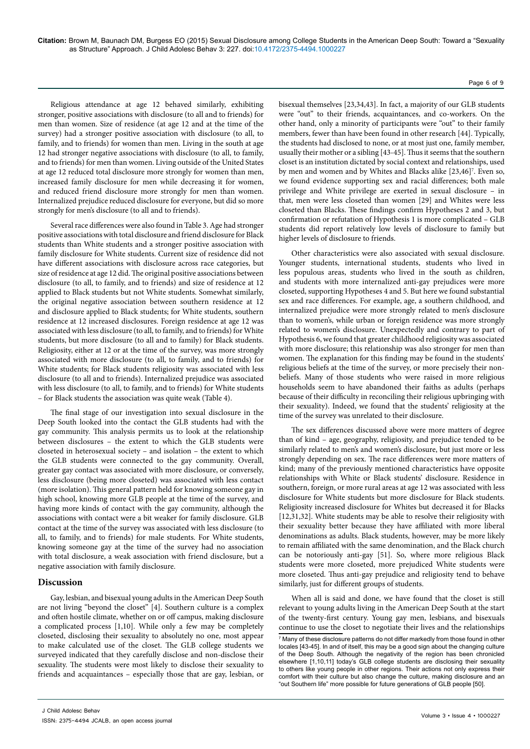Religious attendance at age 12 behaved similarly, exhibiting stronger, positive associations with disclosure (to all and to friends) for men than women. Size of residence (at age 12 and at the time of the survey) had a stronger positive association with disclosure (to all, to family, and to friends) for women than men. Living in the south at age 12 had stronger negative associations with disclosure (to all, to family, and to friends) for men than women. Living outside of the United States at age 12 reduced total disclosure more strongly for women than men, increased family disclosure for men while decreasing it for women, and reduced friend disclosure more strongly for men than women. Internalized prejudice reduced disclosure for everyone, but did so more strongly for men's disclosure (to all and to friends).

Several race differences were also found in Table 3. Age had stronger positive associations with total disclosure and friend disclosure for Black students than White students and a stronger positive association with family disclosure for White students. Current size of residence did not have different associations with disclosure across race categories, but size of residence at age 12 did. The original positive associations between disclosure (to all, to family, and to friends) and size of residence at 12 applied to Black students but not White students. Somewhat similarly, the original negative association between southern residence at 12 and disclosure applied to Black students; for White students, southern residence at 12 increased disclosures. Foreign residence at age 12 was associated with less disclosure (to all, to family, and to friends) for White students, but more disclosure (to all and to family) for Black students. Religiosity, either at 12 or at the time of the survey, was more strongly associated with more disclosure (to all, to family, and to friends) for White students; for Black students religiosity was associated with less disclosure (to all and to friends). Internalized prejudice was associated with less disclosure (to all, to family, and to friends) for White students – for Black students the association was quite weak (Table 4).

The final stage of our investigation into sexual disclosure in the Deep South looked into the contact the GLB students had with the gay community. This analysis permits us to look at the relationship between disclosures – the extent to which the GLB students were closeted in heterosexual society – and isolation – the extent to which the GLB students were connected to the gay community. Overall, greater gay contact was associated with more disclosure, or conversely, less disclosure (being more closeted) was associated with less contact (more isolation). This general pattern held for knowing someone gay in high school, knowing more GLB people at the time of the survey, and having more kinds of contact with the gay community, although the associations with contact were a bit weaker for family disclosure. GLB contact at the time of the survey was associated with less disclosure (to all, to family, and to friends) for male students. For White students, knowing someone gay at the time of the survey had no association with total disclosure, a weak association with friend disclosure, but a negative association with family disclosure.

# **Discussion**

Gay, lesbian, and bisexual young adults in the American Deep South are not living "beyond the closet" [4]. Southern culture is a complex and often hostile climate, whether on or off campus, making disclosure a complicated process [1,10]. While only a few may be completely closeted, disclosing their sexuality to absolutely no one, most appear to make calculated use of the closet. The GLB college students we surveyed indicated that they carefully disclose and non-disclose their sexuality. The students were most likely to disclose their sexuality to friends and acquaintances – especially those that are gay, lesbian, or

bisexual themselves [23,34,43]. In fact, a majority of our GLB students were "out" to their friends, acquaintances, and co-workers. On the other hand, only a minority of participants were "out" to their family members, fewer than have been found in other research [44]. Typically, the students had disclosed to none, or at most just one, family member, usually their mother or a sibling [43-45]. Thus it seems that the southern closet is an institution dictated by social context and relationships, used by men and women and by Whites and Blacks alike [23,46]<sup>7</sup>. Even so, we found evidence supporting sex and racial differences; both male privilege and White privilege are exerted in sexual disclosure – in that, men were less closeted than women [29] and Whites were less closeted than Blacks. These findings confirm Hypotheses 2 and 3, but confirmation or refutation of Hypothesis 1 is more complicated – GLB students did report relatively low levels of disclosure to family but higher levels of disclosure to friends.

Other characteristics were also associated with sexual disclosure. Younger students, international students, students who lived in less populous areas, students who lived in the south as children, and students with more internalized anti-gay prejudices were more closeted, supporting Hypotheses 4 and 5. But here we found substantial sex and race differences. For example, age, a southern childhood, and internalized prejudice were more strongly related to men's disclosure than to women's, while urban or foreign residence was more strongly related to women's disclosure. Unexpectedly and contrary to part of Hypothesis 6, we found that greater childhood religiosity was associated with more disclosure; this relationship was also stronger for men than women. The explanation for this finding may be found in the students' religious beliefs at the time of the survey, or more precisely their nonbeliefs. Many of those students who were raised in more religious households seem to have abandoned their faiths as adults (perhaps because of their difficulty in reconciling their religious upbringing with their sexuality). Indeed, we found that the students' religiosity at the time of the survey was unrelated to their disclosure.

The sex differences discussed above were more matters of degree than of kind – age, geography, religiosity, and prejudice tended to be similarly related to men's and women's disclosure, but just more or less strongly depending on sex. The race differences were more matters of kind; many of the previously mentioned characteristics have opposite relationships with White or Black students' disclosure. Residence in southern, foreign, or more rural areas at age 12 was associated with less disclosure for White students but more disclosure for Black students. Religiosity increased disclosure for Whites but decreased it for Blacks [12,31,32]. White students may be able to resolve their religiosity with their sexuality better because they have affiliated with more liberal denominations as adults. Black students, however, may be more likely to remain affiliated with the same denomination, and the Black church can be notoriously anti-gay [51]. So, where more religious Black students were more closeted, more prejudiced White students were more closeted. Thus anti-gay prejudice and religiosity tend to behave similarly, just for different groups of students.

When all is said and done, we have found that the closet is still relevant to young adults living in the American Deep South at the start of the twenty-first century. Young gay men, lesbians, and bisexuals continue to use the closet to negotiate their lives and the relationships 7 Many of these disclosure patterns do not differ markedly from those found in other locales [43-45]. In and of itself, this may be a good sign about the changing culture of the Deep South. Although the negativity of the region has been chronicled elsewhere [1,10,11] today's GLB college students are disclosing their sexuality to others like young people in other regions. Their actions not only express their comfort with their culture but also change the culture, making disclosure and an "out Southern life" more possible for future generations of GLB people [50].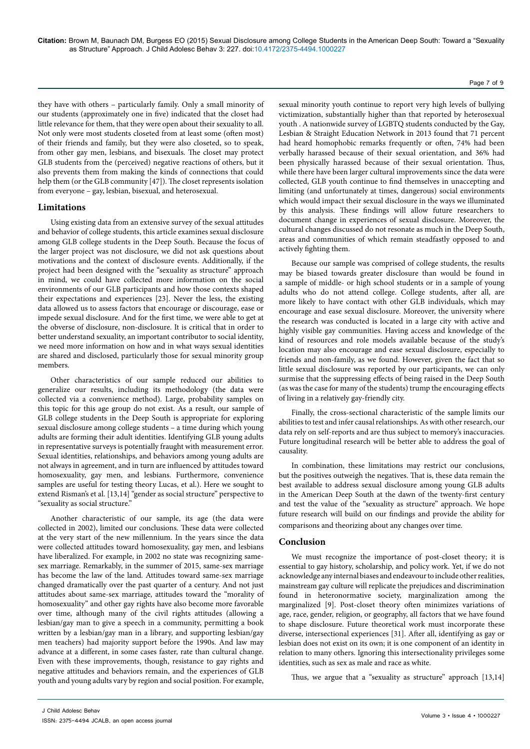they have with others – particularly family. Only a small minority of our students (approximately one in five) indicated that the closet had little relevance for them, that they were open about their sexuality to all. Not only were most students closeted from at least some (often most) of their friends and family, but they were also closeted, so to speak, from other gay men, lesbians, and bisexuals. The closet may protect GLB students from the (perceived) negative reactions of others, but it also prevents them from making the kinds of connections that could help them (or the GLB community [47]). The closet represents isolation from everyone – gay, lesbian, bisexual, and heterosexual.

## **Limitations**

Using existing data from an extensive survey of the sexual attitudes and behavior of college students, this article examines sexual disclosure among GLB college students in the Deep South. Because the focus of the larger project was not disclosure, we did not ask questions about motivations and the context of disclosure events. Additionally, if the project had been designed with the "sexuality as structure" approach in mind, we could have collected more information on the social environments of our GLB participants and how those contexts shaped their expectations and experiences [23]. Never the less, the existing data allowed us to assess factors that encourage or discourage, ease or impede sexual disclosure. And for the first time, we were able to get at the obverse of disclosure, non-disclosure. It is critical that in order to better understand sexuality, an important contributor to social identity, we need more information on how and in what ways sexual identities are shared and disclosed, particularly those for sexual minority group members.

Other characteristics of our sample reduced our abilities to generalize our results, including its methodology (the data were collected via a convenience method). Large, probability samples on this topic for this age group do not exist. As a result, our sample of GLB college students in the Deep South is appropriate for exploring sexual disclosure among college students – a time during which young adults are forming their adult identities. Identifying GLB young adults in representative surveys is potentially fraught with measurement error. Sexual identities, relationships, and behaviors among young adults are not always in agreement, and in turn are influenced by attitudes toward homosexuality, gay men, and lesbians. Furthermore, convenience samples are useful for testing theory Lucas, et al.). Here we sought to extend Risman's et al. [13,14] "gender as social structure" perspective to "sexuality as social structure."

Another characteristic of our sample, its age (the data were collected in 2002), limited our conclusions. These data were collected at the very start of the new millennium. In the years since the data were collected attitudes toward homosexuality, gay men, and lesbians have liberalized. For example, in 2002 no state was recognizing samesex marriage. Remarkably, in the summer of 2015, same-sex marriage has become the law of the land. Attitudes toward same-sex marriage changed dramatically over the past quarter of a century. And not just attitudes about same-sex marriage, attitudes toward the "morality of homosexuality" and other gay rights have also become more favorable over time, although many of the civil rights attitudes (allowing a lesbian/gay man to give a speech in a community, permitting a book written by a lesbian/gay man in a library, and supporting lesbian/gay men teachers) had majority support before the 1990s. And law may advance at a different, in some cases faster, rate than cultural change. Even with these improvements, though, resistance to gay rights and negative attitudes and behaviors remain, and the experiences of GLB youth and young adults vary by region and social position. For example,

sexual minority youth continue to report very high levels of bullying victimization, substantially higher than that reported by heterosexual youth . A nationwide survey of LGBTQ students conducted by the Gay, Lesbian & Straight Education Network in 2013 found that 71 percent had heard homophobic remarks frequently or often, 74% had been verbally harassed because of their sexual orientation, and 36% had been physically harassed because of their sexual orientation. Thus, while there have been larger cultural improvements since the data were collected, GLB youth continue to find themselves in unaccepting and limiting (and unfortunately at times, dangerous) social environments which would impact their sexual disclosure in the ways we illuminated by this analysis. These findings will allow future researchers to document change in experiences of sexual disclosure. Moreover, the cultural changes discussed do not resonate as much in the Deep South, areas and communities of which remain steadfastly opposed to and actively fighting them.

Because our sample was comprised of college students, the results may be biased towards greater disclosure than would be found in a sample of middle- or high school students or in a sample of young adults who do not attend college. College students, after all, are more likely to have contact with other GLB individuals, which may encourage and ease sexual disclosure. Moreover, the university where the research was conducted is located in a large city with active and highly visible gay communities. Having access and knowledge of the kind of resources and role models available because of the study's location may also encourage and ease sexual disclosure, especially to friends and non-family, as we found. However, given the fact that so little sexual disclosure was reported by our participants, we can only surmise that the suppressing effects of being raised in the Deep South (as was the case for many of the students) trump the encouraging effects of living in a relatively gay-friendly city.

Finally, the cross-sectional characteristic of the sample limits our abilities to test and infer causal relationships. As with other research, our data rely on self-reports and are thus subject to memory's inaccuracies. Future longitudinal research will be better able to address the goal of causality.

In combination, these limitations may restrict our conclusions, but the positives outweigh the negatives. That is, these data remain the best available to address sexual disclosure among young GLB adults in the American Deep South at the dawn of the twenty-first century and test the value of the "sexuality as structure" approach. We hope future research will build on our findings and provide the ability for comparisons and theorizing about any changes over time.

## **Conclusion**

We must recognize the importance of post-closet theory; it is essential to gay history, scholarship, and policy work. Yet, if we do not acknowledge any internal biases and endeavour to include other realities, mainstream gay culture will replicate the prejudices and discrimination found in heteronormative society, marginalization among the marginalized [9]. Post-closet theory often minimizes variations of age, race, gender, religion, or geography, all factors that we have found to shape disclosure. Future theoretical work must incorporate these diverse, intersectional experiences [31]. After all, identifying as gay or lesbian does not exist on its own; it is one component of an identity in relation to many others. Ignoring this intersectionality privileges some identities, such as sex as male and race as white.

Thus, we argue that a "sexuality as structure" approach [13,14]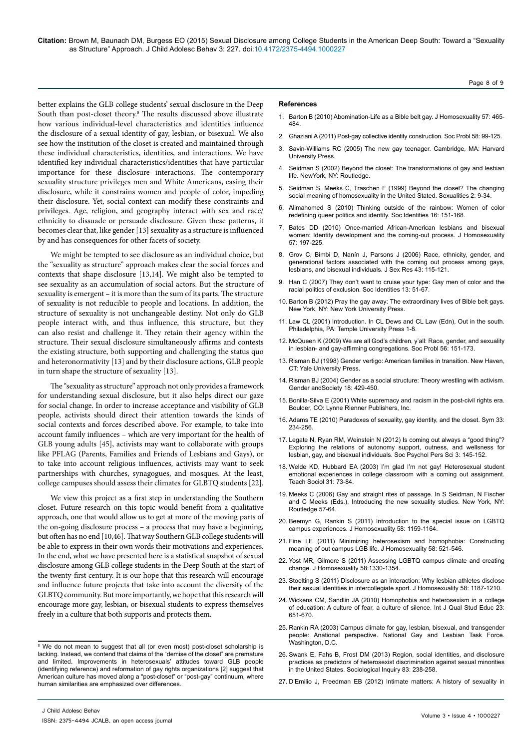better explains the GLB college students' sexual disclosure in the Deep South than post-closet theory.8 The results discussed above illustrate how various individual-level characteristics and identities influence the disclosure of a sexual identity of gay, lesbian, or bisexual. We also see how the institution of the closet is created and maintained through these individual characteristics, identities, and interactions. We have identified key individual characteristics/identities that have particular importance for these disclosure interactions. The contemporary sexuality structure privileges men and White Americans, easing their disclosure, while it constrains women and people of color, impeding their disclosure. Yet, social context can modify these constraints and privileges. Age, religion, and geography interact with sex and race/ ethnicity to dissuade or persuade disclosure. Given these patterns, it becomes clear that, like gender [13] sexuality as a structure is influenced by and has consequences for other facets of society.

We might be tempted to see disclosure as an individual choice, but the "sexuality as structure" approach makes clear the social forces and contexts that shape disclosure [13,14]. We might also be tempted to see sexuality as an accumulation of social actors. But the structure of sexuality is emergent – it is more than the sum of its parts. The structure of sexuality is not reducible to people and locations. In addition, the structure of sexuality is not unchangeable destiny. Not only do GLB people interact with, and thus influence, this structure, but they can also resist and challenge it. They retain their agency within the structure. Their sexual disclosure simultaneously affirms and contests the existing structure, both supporting and challenging the status quo and heteronormativity [13] and by their disclosure actions, GLB people in turn shape the structure of sexuality [13].

The "sexuality as structure" approach not only provides a framework for understanding sexual disclosure, but it also helps direct our gaze for social change. In order to increase acceptance and visibility of GLB people, activists should direct their attention towards the kinds of social contexts and forces described above. For example, to take into account family influences – which are very important for the health of GLB young adults [45], activists may want to collaborate with groups like PFLAG (Parents, Families and Friends of Lesbians and Gays), or to take into account religious influences, activists may want to seek partnerships with churches, synagogues, and mosques. At the least, college campuses should assess their climates for GLBTQ students [22].

We view this project as a first step in understanding the Southern closet. Future research on this topic would benefit from a qualitative approach, one that would allow us to get at more of the moving parts of the on-going disclosure process – a process that may have a beginning, but often has no end [10,46]. That way Southern GLB college students will be able to express in their own words their motivations and experiences. In the end, what we have presented here is a statistical snapshot of sexual disclosure among GLB college students in the Deep South at the start of the twenty-first century. It is our hope that this research will encourage and influence future projects that take into account the diversity of the GLBTQ community. But more importantly, we hope that this research will encourage more gay, lesbian, or bisexual students to express themselves freely in a culture that both supports and protects them.

1. [Barton B \(2010\) Abomination-Life as a Bible belt gay. J Homosexuality 57: 465-](http://www.ncbi.nlm.nih.gov/pubmed/20391006) [484.](http://www.ncbi.nlm.nih.gov/pubmed/20391006)

Page 8 of 9

- 2. [Ghaziani A \(2011\) Post-gay collective identity construction. Soc Probl 58: 99-125.](http://www.jstor.org/stable/10.1525/sp.2011.58.1.99?seq=1#page_scan_tab_contents)
- Savin-Williams RC (2005) The new gay teenager. Cambridge, MA: Harvard [University Press.](http://www.hup.harvard.edu/catalog.php?isbn=9780674022560)
- 4. [Seidman S \(2002\) Beyond the closet: The transformations of gay and lesbian](https://books.google.co.in/books/about/Beyond_the_Closet.html?id=xUXcujfeXCIC&redir_esc=y)  [life. NewYork, NY: Routledge.](https://books.google.co.in/books/about/Beyond_the_Closet.html?id=xUXcujfeXCIC&redir_esc=y)
- 5. [Seidman S, Meeks C, Traschen F \(1999\) Beyond the closet? The changing](http://www.researchgate.net/publication/249719645_Beyond_the_Closet_The_Changing_Social_Meaning_of_Homosexuality_in_the_United_States)  [social meaning of homosexuality in the United Stated. Sexualities 2: 9-34.](http://www.researchgate.net/publication/249719645_Beyond_the_Closet_The_Changing_Social_Meaning_of_Homosexuality_in_the_United_States)
- 6. Alimahomed S (2010) Thinking outside of the rainbow: Women of color redefining queer politics and identity. Soc Identities 16: 151-168.
- 7. [Bates DD \(2010\) Once-married African-American lesbians and bisexual](http://www.tandfonline.com/doi/pdf/10.1080/00918360903488848#.Va5UveFSLFA)  [women: Identity development and the coming-out process. J Homosexuality](http://www.tandfonline.com/doi/pdf/10.1080/00918360903488848#.Va5UveFSLFA)  [57: 197-225.](http://www.tandfonline.com/doi/pdf/10.1080/00918360903488848#.Va5UveFSLFA)
- 8. Grov C, Bimbi D, Nanín J, Parsons J (2006) Race, ethnicity, gender, and generational factors associated with the coming out process among gays, lesbians, and bisexual individuals. J Sex Res 43: 115-121.
- 9. [Han C \(2007\) They don't want to cruise your type: Gay men of color and the](http://www.tandfonline.com/doi/abs/10.1080/13504630601163379#.Va8q1Pmqqko)  [racial politics of exclusion. Soc Identities 13: 51-67.](http://www.tandfonline.com/doi/abs/10.1080/13504630601163379#.Va8q1Pmqqko)
- 10. [Barton B \(2012\) Pray the gay away: The extraordinary lives of Bible belt gays.](http://nyupress.org/books/9780814786376/)  [New York, NY: New York University Press.](http://nyupress.org/books/9780814786376/)
- 11. Law CL (2001) Introduction. In CL Dews and CL Law (Edn), Out in the south. Philadelphia, PA: Temple University Press 1-8.
- 12. [McQueen K \(2009\) We are all God's children, y'all: Race, gender, and sexuality](http://www.jstor.org/stable/10.1525/sp.2009.56.1.151?seq=1#page_scan_tab_contents)  [in lesbian- and gay-affirming congregations. Soc Probl 56: 151-173.](http://www.jstor.org/stable/10.1525/sp.2009.56.1.151?seq=1#page_scan_tab_contents)
- 13. [Risman BJ \(1998\) Gender vertigo: American families in transition. New Haven,](http://yalepress.yale.edu/book.asp?isbn=9780300072150)  [CT: Yale University Press.](http://yalepress.yale.edu/book.asp?isbn=9780300072150)
- 14. [Risman BJ \(2004\) Gender as a social structure: Theory wrestling with activism.](http://www.jstor.org/stable/4149444?seq=1#page_scan_tab_contents)  [Gender andSociety 18: 429-450.](http://www.jstor.org/stable/4149444?seq=1#page_scan_tab_contents)
- 15. [Bonilla-Silva E \(2001\) White supremacy and racism in the post-civil rights era.](https://www.rienner.com/title/White_Supremacy_and_Racism_in_the_Post_Civil_Rights_Era)  [Boulder, CO: Lynne Rienner Publishers, Inc.](https://www.rienner.com/title/White_Supremacy_and_Racism_in_the_Post_Civil_Rights_Era)
- 16. [Adams TE \(2010\) Paradoxes of sexuality, gay identity, and the closet. Sym 33:](http://onlinelibrary.wiley.com/doi/10.1525/si.2010.33.2.234/abstract)  [234-256.](http://onlinelibrary.wiley.com/doi/10.1525/si.2010.33.2.234/abstract)
- 17. [Legate N, Ryan RM, Weinstein N \(2012\) Is coming out always a "good thing"?](http://spp.sagepub.com/content/3/2/145.abstract)  [Exploring the relations of autonomy support, outness, and wellsness for](http://spp.sagepub.com/content/3/2/145.abstract)  [lesbian, gay, and bisexual individuals. Soc Psychol Pers Sci 3: 145-152.](http://spp.sagepub.com/content/3/2/145.abstract)
- 18. [Welde KD, Hubbard EA \(2003\) I'm glad I'm not gay! Heterosexual student](http://www.jstor.org/stable/3211426)  [emotional experiences in college classroom with a coming out assignment.](http://www.jstor.org/stable/3211426)  [Teach Sociol 31: 73-84.](http://www.jstor.org/stable/3211426)
- 19. [Meeks C \(2006\) Gay and straight rites of passage. In S Seidman, N Fischer](http://www.bokus.com/bok/9780415781251/introducing-the-new-sexuality-studies/)  [and C Meeks \(Eds.\), Introducing the new sexuality studies. New York, NY:](http://www.bokus.com/bok/9780415781251/introducing-the-new-sexuality-studies/)  [Routledge 57-64.](http://www.bokus.com/bok/9780415781251/introducing-the-new-sexuality-studies/)
- 20. [Beemyn G, Rankin S \(2011\) Introduction to the special issue on LGBTQ](http://www.tandfonline.com/doi/abs/10.1080/00918369.2011.605728)  [campus experiences. J Homosexuality 58: 1159-1164.](http://www.tandfonline.com/doi/abs/10.1080/00918369.2011.605728)
- 21. [Fine LE \(2011\) Minimizing heterosexism and homophobia: Constructing](http://www.ncbi.nlm.nih.gov/pubmed/21442544)  [meaning of out campus LGB life. J Homosexuality 58: 521-546.](http://www.ncbi.nlm.nih.gov/pubmed/21442544)
- 22. [Yost MR, Gilmore S \(2011\) Assessing LGBTQ campus climate and creating](http://www.ncbi.nlm.nih.gov/pubmed/21957861)  [change. J Homosexuality 58:1330-1354.](http://www.ncbi.nlm.nih.gov/pubmed/21957861)
- 23. [Stoelting S \(2011\) Disclosure as an interaction: Why lesbian athletes disclose](http://www.ncbi.nlm.nih.gov/pubmed/21957855)  [their sexual identities in intercollegiate sport. J Homosexuality 58: 1187-1210.](http://www.ncbi.nlm.nih.gov/pubmed/21957855)
- 24. [Wickens CM, Sandlin JA \(2010\) Homophobia and heterosexism in a college](http://www.tandfonline.com/doi/abs/10.1080/09518390903551035#.Va8uZfmqqko)  [of education: A culture of fear, a culture of silence. Int J Qual Stud Educ 23:](http://www.tandfonline.com/doi/abs/10.1080/09518390903551035#.Va8uZfmqqko)  [651-670.](http://www.tandfonline.com/doi/abs/10.1080/09518390903551035#.Va8uZfmqqko)
- 25. [Rankin RA \(2003\) Campus climate for gay, lesbian, bisexual, and transgender](http://www.thetaskforce.org/static_html/downloads/reports/reports/CampusClimate.pdf)  [people: Anational perspective. National Gay and Lesbian Task Force.](http://www.thetaskforce.org/static_html/downloads/reports/reports/CampusClimate.pdf)  [Washington, D.C.](http://www.thetaskforce.org/static_html/downloads/reports/reports/CampusClimate.pdf)
- 26. [Swank E, Fahs B, Frost DM \(2013\) Region, social identities, and disclosure](http://onlinelibrary.wiley.com/doi/10.1111/soin.12004/abstract)  [practices as predictors of heterosexist discrimination against sexual minorities](http://onlinelibrary.wiley.com/doi/10.1111/soin.12004/abstract)  [in the United States. Sociological Inquiry 83: 238-258.](http://onlinelibrary.wiley.com/doi/10.1111/soin.12004/abstract)
- 27. [D'Emilio J, Freedman EB \(2012\) Intimate matters: A history of sexuality in](http://www.press.uchicago.edu/ucp/books/book/chicago/I/bo14770063.html)

<sup>&</sup>lt;sup>8</sup> We do not mean to suggest that all (or even most) post-closet scholarship is lacking. Instead, we contend that claims of the "demise of the closet" are premature and limited. Improvements in heterosexuals' attitudes toward GLB people (identifying reference) and reformation of gay rights organizations [2] suggest that American culture has moved along a "post-closet" or "post-gay" continuum, where human similarities are emphasized over differences.